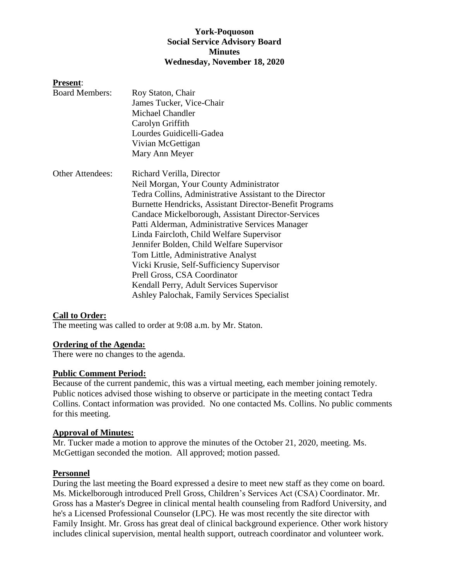### **York-Poquoson Social Service Advisory Board Minutes Wednesday, November 18, 2020**

#### **Present**:

| <b>Board Members:</b>   | Roy Staton, Chair                                       |
|-------------------------|---------------------------------------------------------|
|                         | James Tucker, Vice-Chair                                |
|                         | Michael Chandler                                        |
|                         | Carolyn Griffith                                        |
|                         | Lourdes Guidicelli-Gadea                                |
|                         | Vivian McGettigan                                       |
|                         | Mary Ann Meyer                                          |
| <b>Other Attendees:</b> | Richard Verilla, Director                               |
|                         | Neil Morgan, Your County Administrator                  |
|                         | Tedra Collins, Administrative Assistant to the Director |
|                         | Burnette Hendricks, Assistant Director-Benefit Programs |
|                         | Candace Mickelborough, Assistant Director-Services      |
|                         | Patti Alderman, Administrative Services Manager         |
|                         | Linda Faircloth, Child Welfare Supervisor               |
|                         | Jennifer Bolden, Child Welfare Supervisor               |
|                         | Tom Little, Administrative Analyst                      |
|                         | Vicki Krusie, Self-Sufficiency Supervisor               |
|                         | Prell Gross, CSA Coordinator                            |
|                         | Kendall Perry, Adult Services Supervisor                |
|                         | Ashley Palochak, Family Services Specialist             |

#### **Call to Order:**

The meeting was called to order at 9:08 a.m. by Mr. Staton.

#### **Ordering of the Agenda:**

There were no changes to the agenda.

#### **Public Comment Period:**

Because of the current pandemic, this was a virtual meeting, each member joining remotely. Public notices advised those wishing to observe or participate in the meeting contact Tedra Collins. Contact information was provided. No one contacted Ms. Collins. No public comments for this meeting.

#### **Approval of Minutes:**

Mr. Tucker made a motion to approve the minutes of the October 21, 2020, meeting. Ms. McGettigan seconded the motion. All approved; motion passed.

#### **Personnel**

During the last meeting the Board expressed a desire to meet new staff as they come on board. Ms. Mickelborough introduced Prell Gross, Children's Services Act (CSA) Coordinator. Mr. Gross has a Master's Degree in clinical mental health counseling from Radford University, and he's a Licensed Professional Counselor (LPC). He was most recently the site director with Family Insight. Mr. Gross has great deal of clinical background experience. Other work history includes clinical supervision, mental health support, outreach coordinator and volunteer work.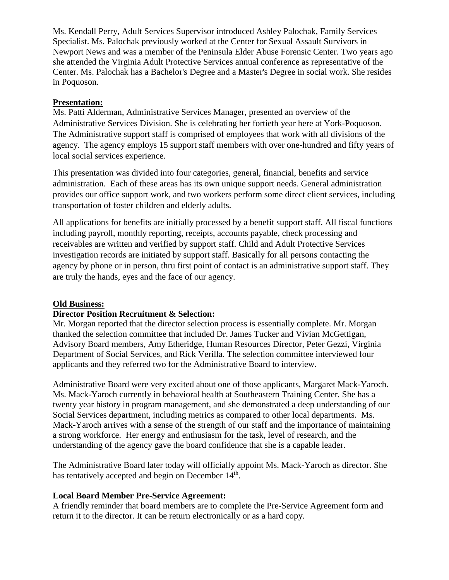Ms. Kendall Perry, Adult Services Supervisor introduced Ashley Palochak, Family Services Specialist. Ms. Palochak previously worked at the Center for Sexual Assault Survivors in Newport News and was a member of the Peninsula Elder Abuse Forensic Center. Two years ago she attended the Virginia Adult Protective Services annual conference as representative of the Center. Ms. Palochak has a Bachelor's Degree and a Master's Degree in social work. She resides in Poquoson.

### **Presentation:**

Ms. Patti Alderman, Administrative Services Manager, presented an overview of the Administrative Services Division. She is celebrating her fortieth year here at York-Poquoson. The Administrative support staff is comprised of employees that work with all divisions of the agency. The agency employs 15 support staff members with over one-hundred and fifty years of local social services experience.

This presentation was divided into four categories, general, financial, benefits and service administration. Each of these areas has its own unique support needs. General administration provides our office support work, and two workers perform some direct client services, including transportation of foster children and elderly adults.

All applications for benefits are initially processed by a benefit support staff. All fiscal functions including payroll, monthly reporting, receipts, accounts payable, check processing and receivables are written and verified by support staff. Child and Adult Protective Services investigation records are initiated by support staff. Basically for all persons contacting the agency by phone or in person, thru first point of contact is an administrative support staff. They are truly the hands, eyes and the face of our agency.

## **Old Business:**

#### **Director Position Recruitment & Selection:**

Mr. Morgan reported that the director selection process is essentially complete. Mr. Morgan thanked the selection committee that included Dr. James Tucker and Vivian McGettigan, Advisory Board members, Amy Etheridge, Human Resources Director, Peter Gezzi, Virginia Department of Social Services, and Rick Verilla. The selection committee interviewed four applicants and they referred two for the Administrative Board to interview.

Administrative Board were very excited about one of those applicants, Margaret Mack-Yaroch. Ms. Mack-Yaroch currently in behavioral health at Southeastern Training Center. She has a twenty year history in program management, and she demonstrated a deep understanding of our Social Services department, including metrics as compared to other local departments. Ms. Mack-Yaroch arrives with a sense of the strength of our staff and the importance of maintaining a strong workforce. Her energy and enthusiasm for the task, level of research, and the understanding of the agency gave the board confidence that she is a capable leader.

The Administrative Board later today will officially appoint Ms. Mack-Yaroch as director. She has tentatively accepted and begin on December 14<sup>th</sup>.

#### **Local Board Member Pre-Service Agreement:**

A friendly reminder that board members are to complete the Pre-Service Agreement form and return it to the director. It can be return electronically or as a hard copy.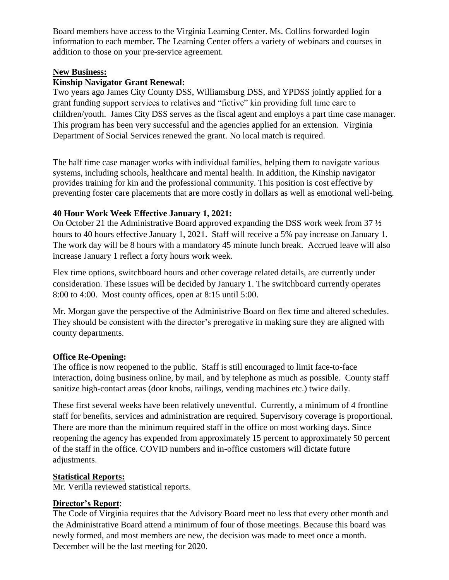Board members have access to the Virginia Learning Center. Ms. Collins forwarded login information to each member. The Learning Center offers a variety of webinars and courses in addition to those on your pre-service agreement.

## **New Business:**

## **Kinship Navigator Grant Renewal:**

Two years ago James City County DSS, Williamsburg DSS, and YPDSS jointly applied for a grant funding support services to relatives and "fictive" kin providing full time care to children/youth. James City DSS serves as the fiscal agent and employs a part time case manager. This program has been very successful and the agencies applied for an extension. Virginia Department of Social Services renewed the grant. No local match is required.

The half time case manager works with individual families, helping them to navigate various systems, including schools, healthcare and mental health. In addition, the Kinship navigator provides training for kin and the professional community. This position is cost effective by preventing foster care placements that are more costly in dollars as well as emotional well-being.

## **40 Hour Work Week Effective January 1, 2021:**

On October 21 the Administrative Board approved expanding the DSS work week from 37 ½ hours to 40 hours effective January 1, 2021. Staff will receive a 5% pay increase on January 1. The work day will be 8 hours with a mandatory 45 minute lunch break. Accrued leave will also increase January 1 reflect a forty hours work week.

Flex time options, switchboard hours and other coverage related details, are currently under consideration. These issues will be decided by January 1. The switchboard currently operates 8:00 to 4:00. Most county offices, open at 8:15 until 5:00.

Mr. Morgan gave the perspective of the Administrive Board on flex time and altered schedules. They should be consistent with the director's prerogative in making sure they are aligned with county departments.

# **Office Re-Opening:**

The office is now reopened to the public. Staff is still encouraged to limit face-to-face interaction, doing business online, by mail, and by telephone as much as possible. County staff sanitize high-contact areas (door knobs, railings, vending machines etc.) twice daily.

These first several weeks have been relatively uneventful. Currently, a minimum of 4 frontline staff for benefits, services and administration are required. Supervisory coverage is proportional. There are more than the minimum required staff in the office on most working days. Since reopening the agency has expended from approximately 15 percent to approximately 50 percent of the staff in the office. COVID numbers and in-office customers will dictate future adjustments.

# **Statistical Reports:**

Mr. Verilla reviewed statistical reports.

# **Director's Report**:

The Code of Virginia requires that the Advisory Board meet no less that every other month and the Administrative Board attend a minimum of four of those meetings. Because this board was newly formed, and most members are new, the decision was made to meet once a month. December will be the last meeting for 2020.